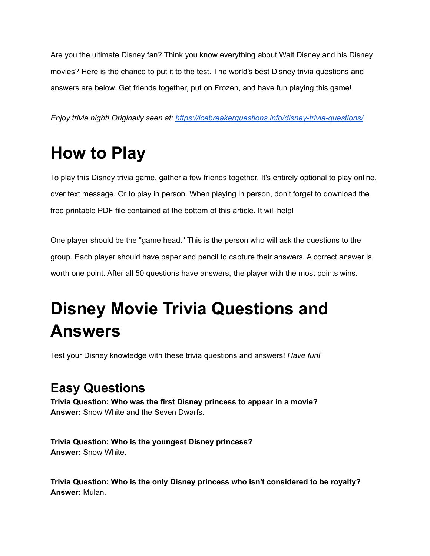Are you the ultimate Disney fan? Think you know everything about Walt Disney and his Disney movies? Here is the chance to put it to the test. The world's best Disney trivia questions and answers are below. Get friends together, put on Frozen, and have fun playing this game!

*Enjoy trivia night! Originally seen at: <https://icebreakerquestions.info/disney-trivia-questions/>*

## **How to Play**

To play this Disney trivia game, gather a few friends together. It's entirely optional to play online, over text message. Or to play in person. When playing in person, don't forget to download the free printable PDF file contained at the bottom of this article. It will help!

One player should be the "game head." This is the person who will ask the questions to the group. Each player should have paper and pencil to capture their answers. A correct answer is worth one point. After all 50 questions have answers, the player with the most points wins.

## **Disney Movie Trivia Questions and Answers**

Test your Disney knowledge with these trivia questions and answers! *Have fun!*

## **Easy Questions**

**Trivia Question: Who was the first Disney princess to appear in a movie? Answer:** Snow White and the Seven Dwarfs.

**Trivia Question: Who is the youngest Disney princess? Answer:** Snow White.

**Trivia Question: Who is the only Disney princess who isn't considered to be royalty? Answer:** Mulan.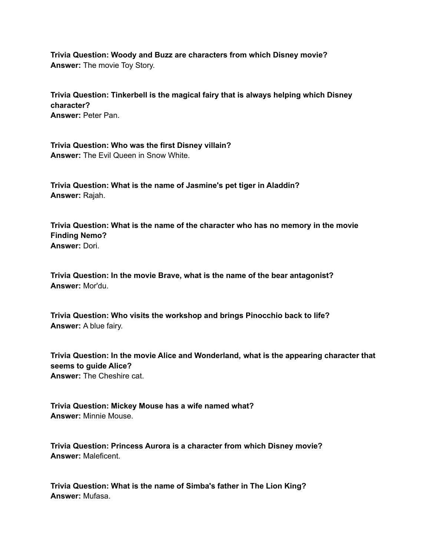**Trivia Question: Woody and Buzz are characters from which Disney movie? Answer:** The movie Toy Story.

**Trivia Question: Tinkerbell is the magical fairy that is always helping which Disney character? Answer:** Peter Pan.

**Trivia Question: Who was the first Disney villain? Answer:** The Evil Queen in Snow White.

**Trivia Question: What is the name of Jasmine's pet tiger in Aladdin? Answer:** Rajah.

**Trivia Question: What is the name of the character who has no memory in the movie Finding Nemo? Answer:** Dori.

**Trivia Question: In the movie Brave, what is the name of the bear antagonist? Answer:** Mor'du.

**Trivia Question: Who visits the workshop and brings Pinocchio back to life? Answer:** A blue fairy.

**Trivia Question: In the movie Alice and Wonderland, what is the appearing character that seems to guide Alice? Answer:** The Cheshire cat.

**Trivia Question: Mickey Mouse has a wife named what? Answer:** Minnie Mouse.

**Trivia Question: Princess Aurora is a character from which Disney movie? Answer:** Maleficent.

**Trivia Question: What is the name of Simba's father in The Lion King? Answer:** Mufasa.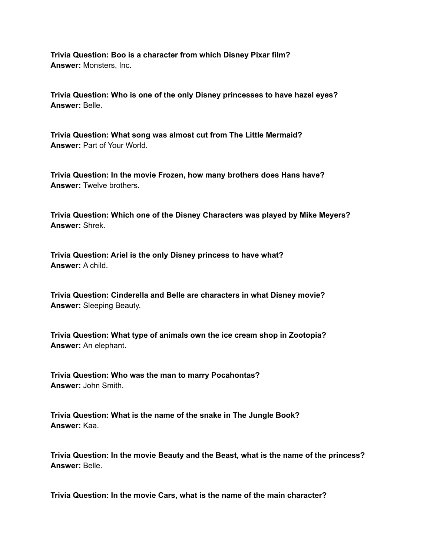**Trivia Question: Boo is a character from which Disney Pixar film? Answer:** Monsters, Inc.

**Trivia Question: Who is one of the only Disney princesses to have hazel eyes? Answer:** Belle.

**Trivia Question: What song was almost cut from The Little Mermaid? Answer:** Part of Your World.

**Trivia Question: In the movie Frozen, how many brothers does Hans have? Answer:** Twelve brothers.

**Trivia Question: Which one of the Disney Characters was played by Mike Meyers? Answer:** Shrek.

**Trivia Question: Ariel is the only Disney princess to have what? Answer:** A child.

**Trivia Question: Cinderella and Belle are characters in what Disney movie? Answer:** Sleeping Beauty.

**Trivia Question: What type of animals own the ice cream shop in Zootopia? Answer:** An elephant.

**Trivia Question: Who was the man to marry Pocahontas? Answer:** John Smith.

**Trivia Question: What is the name of the snake in The Jungle Book? Answer:** Kaa.

**Trivia Question: In the movie Beauty and the Beast, what is the name of the princess? Answer:** Belle.

**Trivia Question: In the movie Cars, what is the name of the main character?**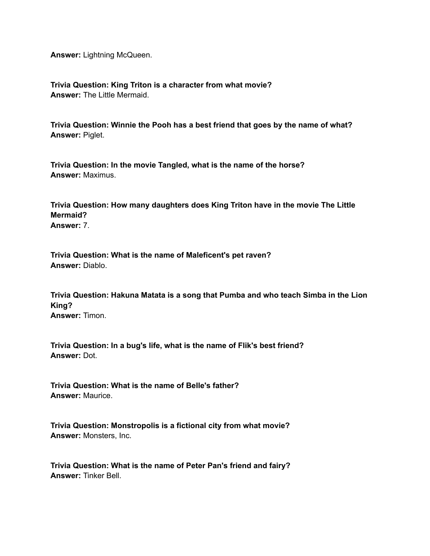**Answer:** Lightning McQueen.

**Trivia Question: King Triton is a character from what movie? Answer:** The Little Mermaid.

**Trivia Question: Winnie the Pooh has a best friend that goes by the name of what? Answer:** Piglet.

**Trivia Question: In the movie Tangled, what is the name of the horse? Answer:** Maximus.

**Trivia Question: How many daughters does King Triton have in the movie The Little Mermaid? Answer:** 7.

**Trivia Question: What is the name of Maleficent's pet raven? Answer:** Diablo.

**Trivia Question: Hakuna Matata is a song that Pumba and who teach Simba in the Lion King? Answer:** Timon.

**Trivia Question: In a bug's life, what is the name of Flik's best friend? Answer:** Dot.

**Trivia Question: What is the name of Belle's father? Answer:** Maurice.

**Trivia Question: Monstropolis is a fictional city from what movie? Answer:** Monsters, Inc.

**Trivia Question: What is the name of Peter Pan's friend and fairy? Answer:** Tinker Bell.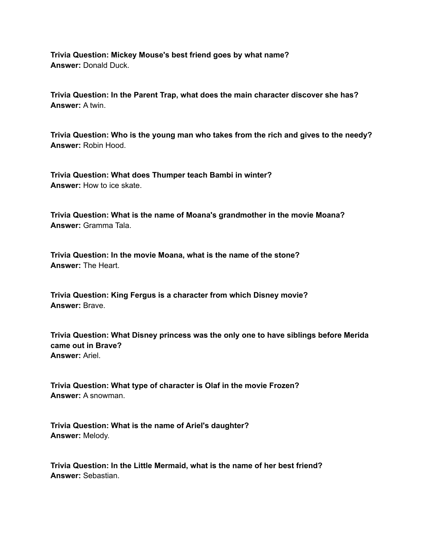**Trivia Question: Mickey Mouse's best friend goes by what name? Answer:** Donald Duck.

**Trivia Question: In the Parent Trap, what does the main character discover she has? Answer:** A twin.

**Trivia Question: Who is the young man who takes from the rich and gives to the needy? Answer:** Robin Hood.

**Trivia Question: What does Thumper teach Bambi in winter? Answer:** How to ice skate.

**Trivia Question: What is the name of Moana's grandmother in the movie Moana? Answer:** Gramma Tala.

**Trivia Question: In the movie Moana, what is the name of the stone? Answer:** The Heart.

**Trivia Question: King Fergus is a character from which Disney movie? Answer:** Brave.

**Trivia Question: What Disney princess was the only one to have siblings before Merida came out in Brave? Answer:** Ariel.

**Trivia Question: What type of character is Olaf in the movie Frozen? Answer:** A snowman.

**Trivia Question: What is the name of Ariel's daughter? Answer:** Melody.

**Trivia Question: In the Little Mermaid, what is the name of her best friend? Answer:** Sebastian.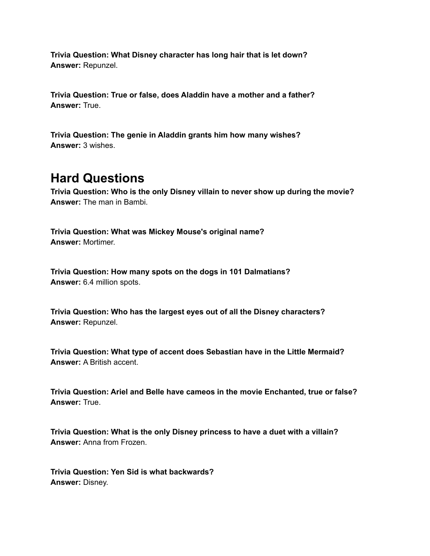**Trivia Question: What Disney character has long hair that is let down? Answer:** Repunzel.

**Trivia Question: True or false, does Aladdin have a mother and a father? Answer:** True.

**Trivia Question: The genie in Aladdin grants him how many wishes? Answer:** 3 wishes.

## **Hard Questions**

**Trivia Question: Who is the only Disney villain to never show up during the movie? Answer:** The man in Bambi.

**Trivia Question: What was Mickey Mouse's original name? Answer:** Mortimer.

**Trivia Question: How many spots on the dogs in 101 Dalmatians? Answer:** 6.4 million spots.

**Trivia Question: Who has the largest eyes out of all the Disney characters? Answer:** Repunzel.

**Trivia Question: What type of accent does Sebastian have in the Little Mermaid? Answer:** A British accent.

**Trivia Question: Ariel and Belle have cameos in the movie Enchanted, true or false? Answer:** True.

**Trivia Question: What is the only Disney princess to have a duet with a villain? Answer:** Anna from Frozen.

**Trivia Question: Yen Sid is what backwards? Answer:** Disney.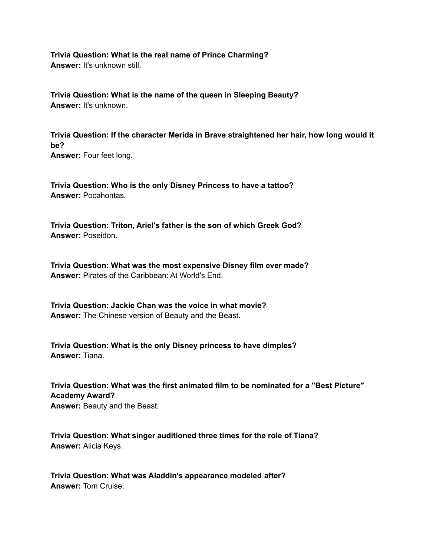**Trivia Question: What is the real name of Prince Charming? Answer:** It's unknown still.

**Trivia Question: What is the name of the queen in Sleeping Beauty? Answer:** It's unknown.

**Trivia Question: If the character Merida in Brave straightened her hair, how long would it be? Answer:** Four feet long.

**Trivia Question: Who is the only Disney Princess to have a tattoo? Answer:** Pocahontas.

**Trivia Question: Triton, Ariel's father is the son of which Greek God? Answer:** Poseidon.

**Trivia Question: What was the most expensive Disney film ever made? Answer:** Pirates of the Caribbean: At World's End.

**Trivia Question: Jackie Chan was the voice in what movie? Answer:** The Chinese version of Beauty and the Beast.

**Trivia Question: What is the only Disney princess to have dimples? Answer:** Tiana.

**Trivia Question: What was the first animated film to be nominated for a "Best Picture" Academy Award? Answer:** Beauty and the Beast.

**Trivia Question: What singer auditioned three times for the role of Tiana? Answer:** Alicia Keys.

**Trivia Question: What was Aladdin's appearance modeled after? Answer:** Tom Cruise.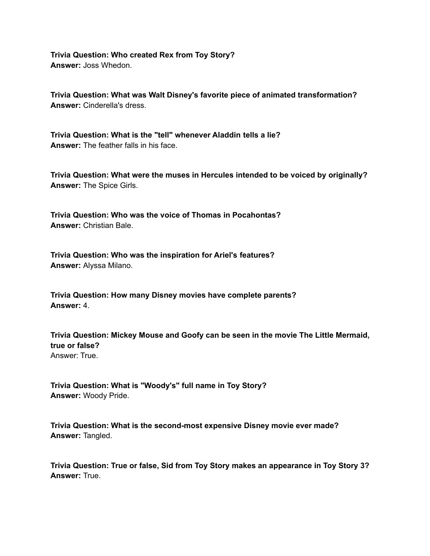**Trivia Question: Who created Rex from Toy Story? Answer:** Joss Whedon.

**Trivia Question: What was Walt Disney's favorite piece of animated transformation? Answer:** Cinderella's dress.

**Trivia Question: What is the "tell" whenever Aladdin tells a lie? Answer:** The feather falls in his face.

**Trivia Question: What were the muses in Hercules intended to be voiced by originally? Answer:** The Spice Girls.

**Trivia Question: Who was the voice of Thomas in Pocahontas? Answer:** Christian Bale.

**Trivia Question: Who was the inspiration for Ariel's features? Answer:** Alyssa Milano.

**Trivia Question: How many Disney movies have complete parents? Answer:** 4.

**Trivia Question: Mickey Mouse and Goofy can be seen in the movie The Little Mermaid, true or false?** Answer: True.

**Trivia Question: What is "Woody's" full name in Toy Story? Answer:** Woody Pride.

**Trivia Question: What is the second-most expensive Disney movie ever made? Answer:** Tangled.

**Trivia Question: True or false, Sid from Toy Story makes an appearance in Toy Story 3? Answer:** True.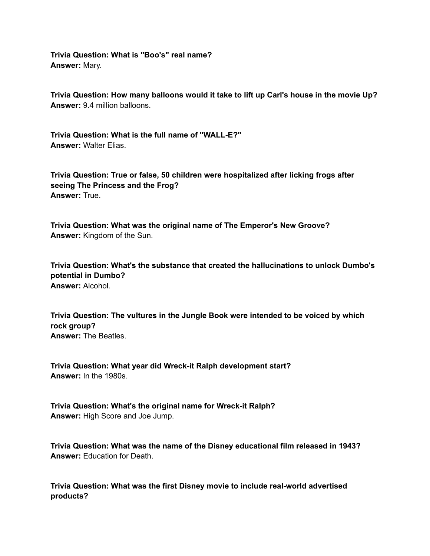**Trivia Question: What is "Boo's" real name? Answer:** Mary.

**Trivia Question: How many balloons would it take to lift up Carl's house in the movie Up? Answer:** 9.4 million balloons.

**Trivia Question: What is the full name of "WALL-E?" Answer:** Walter Elias.

**Trivia Question: True or false, 50 children were hospitalized after licking frogs after seeing The Princess and the Frog? Answer:** True.

**Trivia Question: What was the original name of The Emperor's New Groove? Answer:** Kingdom of the Sun.

**Trivia Question: What's the substance that created the hallucinations to unlock Dumbo's potential in Dumbo? Answer:** Alcohol.

**Trivia Question: The vultures in the Jungle Book were intended to be voiced by which rock group? Answer:** The Beatles.

**Trivia Question: What year did Wreck-it Ralph development start? Answer:** In the 1980s.

**Trivia Question: What's the original name for Wreck-it Ralph? Answer:** High Score and Joe Jump.

**Trivia Question: What was the name of the Disney educational film released in 1943? Answer:** Education for Death.

**Trivia Question: What was the first Disney movie to include real-world advertised products?**